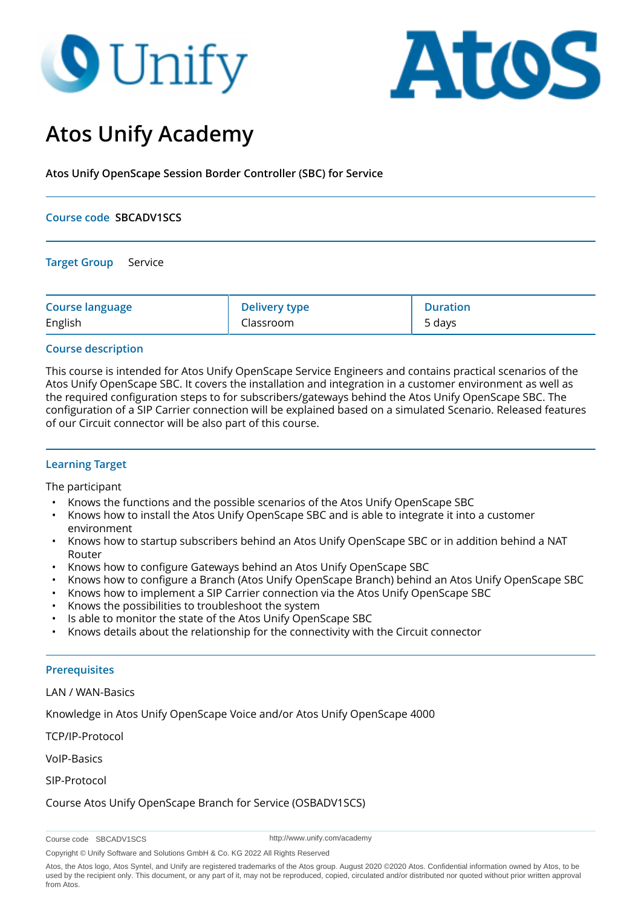# **O** Unify



# **Atos Unify Academy**

**Atos Unify OpenScape Session Border Controller (SBC) for Service**

#### **Course code SBCADV1SCS**

**Target Group** Service

| <b>Course language</b> | <b>Delivery type</b> | <b>Duration</b> |
|------------------------|----------------------|-----------------|
| English                | Classroom            | 5 days          |

## **Course description**

This course is intended for Atos Unify OpenScape Service Engineers and contains practical scenarios of the Atos Unify OpenScape SBC. It covers the installation and integration in a customer environment as well as the required configuration steps to for subscribers/gateways behind the Atos Unify OpenScape SBC. The configuration of a SIP Carrier connection will be explained based on a simulated Scenario. Released features of our Circuit connector will be also part of this course.

# **Learning Target**

The participant

- Knows the functions and the possible scenarios of the Atos Unify OpenScape SBC
- Knows how to install the Atos Unify OpenScape SBC and is able to integrate it into a customer environment
- Knows how to startup subscribers behind an Atos Unify OpenScape SBC or in addition behind a NAT **Router**
- Knows how to configure Gateways behind an Atos Unify OpenScape SBC
- Knows how to configure a Branch (Atos Unify OpenScape Branch) behind an Atos Unify OpenScape SBC
- Knows how to implement a SIP Carrier connection via the Atos Unify OpenScape SBC
- Knows the possibilities to troubleshoot the system
- Is able to monitor the state of the Atos Unify OpenScape SBC
- Knows details about the relationship for the connectivity with the Circuit connector

#### **Prerequisites**

#### LAN / WAN-Basics

Knowledge in Atos Unify OpenScape Voice and/or Atos Unify OpenScape 4000

TCP/IP-Protocol

VoIP-Basics

SIP-Protocol

Course Atos Unify OpenScape Branch for Service (OSBADV1SCS)

http://www.unify.com/academy

Copyright © Unify Software and Solutions GmbH & Co. KG 2022 All Rights Reserved

Course code SBCADV1SCS

Atos, the Atos logo, Atos Syntel, and Unify are registered trademarks of the Atos group. August 2020 ©2020 Atos. Confidential information owned by Atos, to be used by the recipient only. This document, or any part of it, may not be reproduced, copied, circulated and/or distributed nor quoted without prior written approval from Atos.